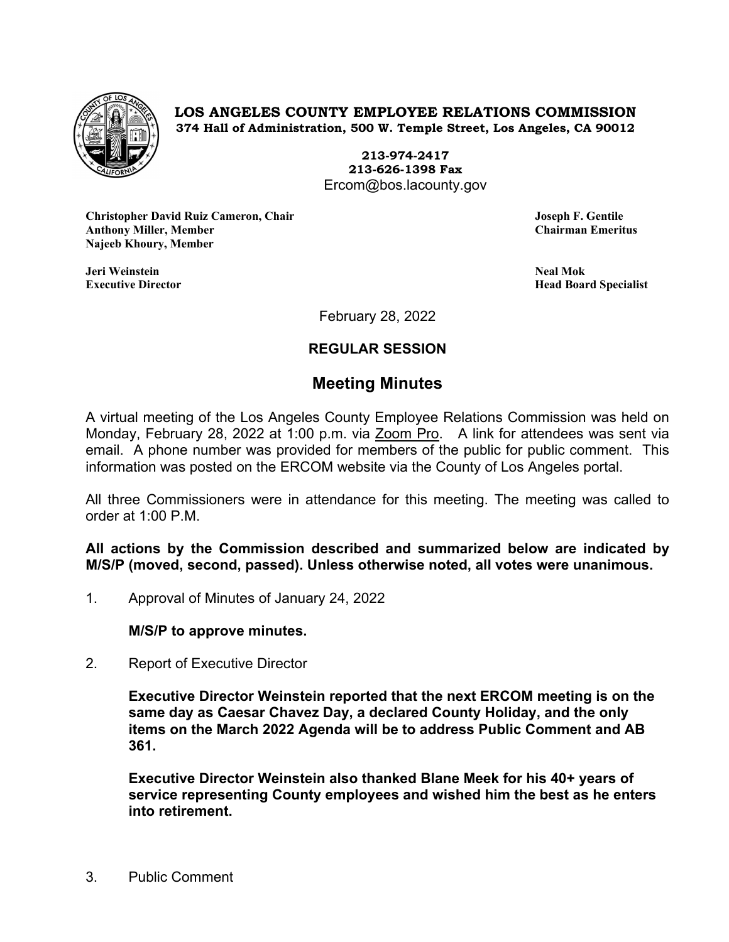

**LOS ANGELES COUNTY EMPLOYEE RELATIONS COMMISSION 374 Hall of Administration, 500 W. Temple Street, Los Angeles, CA 90012**

> **213-974-2417 213-626-1398 Fax** Ercom@bos.lacounty.gov

**Christopher David Ruiz Cameron, Chair Joseph F. Gentile Anthony Miller, Member Najeeb Khoury, Member**

**Jeri Weinstein Neal Mok**

**Executive Director Head Board Specialist**

February 28, 2022

# **REGULAR SESSION**

# **Meeting Minutes**

A virtual meeting of the Los Angeles County Employee Relations Commission was held on Monday, February 28, 2022 at 1:00 p.m. via Zoom Pro. A link for attendees was sent via email. A phone number was provided for members of the public for public comment. This information was posted on the ERCOM website via the County of Los Angeles portal.

All three Commissioners were in attendance for this meeting. The meeting was called to order at 1:00 P.M.

**All actions by the Commission described and summarized below are indicated by M/S/P (moved, second, passed). Unless otherwise noted, all votes were unanimous.**

1. Approval of Minutes of January 24, 2022

**M/S/P to approve minutes.**

2. Report of Executive Director

**Executive Director Weinstein reported that the next ERCOM meeting is on the same day as Caesar Chavez Day, a declared County Holiday, and the only items on the March 2022 Agenda will be to address Public Comment and AB 361.** 

**Executive Director Weinstein also thanked Blane Meek for his 40+ years of service representing County employees and wished him the best as he enters into retirement.**

3. Public Comment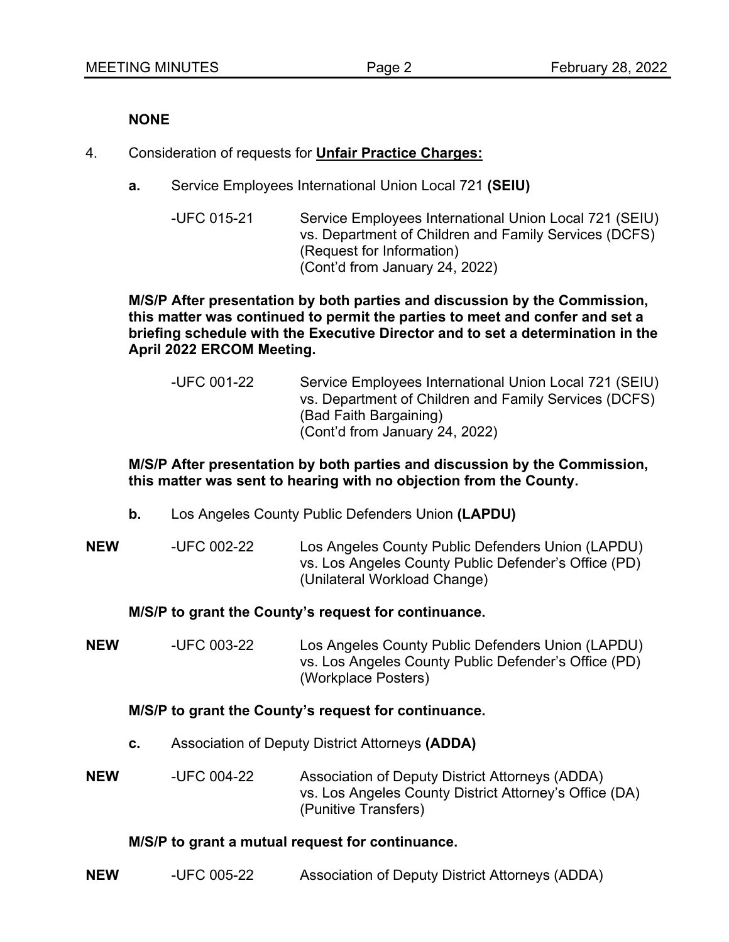#### **NONE**

- 4. Consideration of requests for **Unfair Practice Charges:**
	- **a.** Service Employees International Union Local 721 **(SEIU)**
		- -UFC 015-21 Service Employees International Union Local 721 (SEIU) vs. Department of Children and Family Services (DCFS) (Request for Information) (Cont'd from January 24, 2022)

#### **M/S/P After presentation by both parties and discussion by the Commission, this matter was continued to permit the parties to meet and confer and set a briefing schedule with the Executive Director and to set a determination in the April 2022 ERCOM Meeting.**

-UFC 001-22 Service Employees International Union Local 721 (SEIU) vs. Department of Children and Family Services (DCFS) (Bad Faith Bargaining) (Cont'd from January 24, 2022)

## **M/S/P After presentation by both parties and discussion by the Commission, this matter was sent to hearing with no objection from the County.**

- **b.** Los Angeles County Public Defenders Union **(LAPDU)**
- **NEW** -UFC 002-22 Los Angeles County Public Defenders Union (LAPDU) vs. Los Angeles County Public Defender's Office (PD) (Unilateral Workload Change)

#### **M/S/P to grant the County's request for continuance.**

**NEW** -UFC 003-22 Los Angeles County Public Defenders Union (LAPDU) vs. Los Angeles County Public Defender's Office (PD) (Workplace Posters)

#### **M/S/P to grant the County's request for continuance.**

**c.** Association of Deputy District Attorneys **(ADDA)**

**NEW** -UFC 004-22 Association of Deputy District Attorneys (ADDA) vs. Los Angeles County District Attorney's Office (DA) (Punitive Transfers)

#### **M/S/P to grant a mutual request for continuance.**

**NEW** -UFC 005-22 Association of Deputy District Attorneys (ADDA)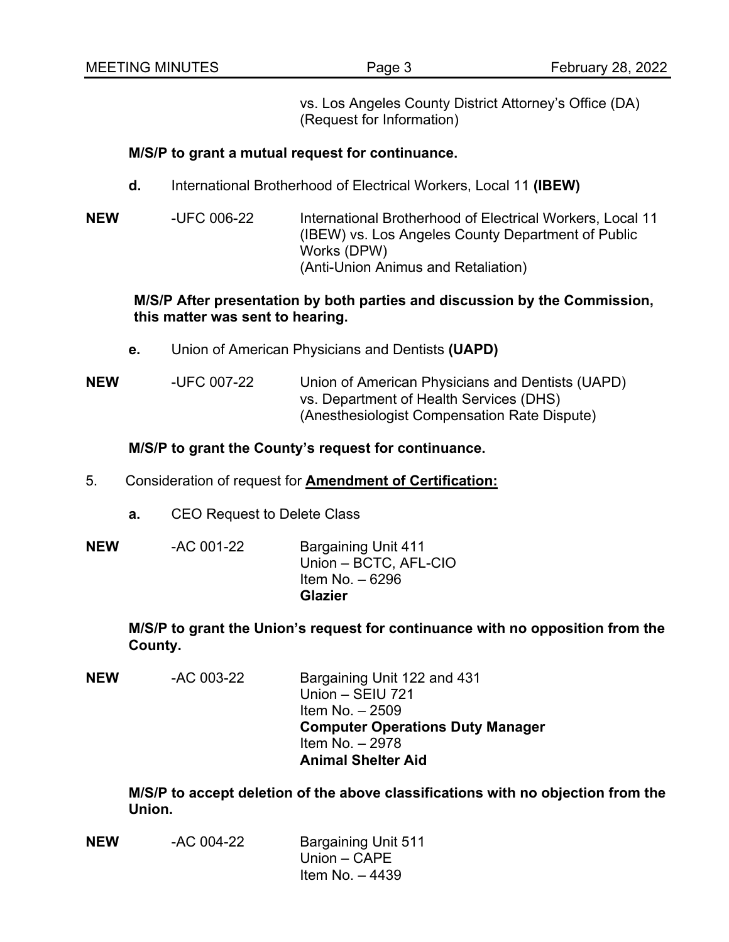vs. Los Angeles County District Attorney's Office (DA) (Request for Information)

#### **M/S/P to grant a mutual request for continuance.**

- **d.** International Brotherhood of Electrical Workers, Local 11 **(IBEW)**
- **NEW** -UFC 006-22 International Brotherhood of Electrical Workers, Local 11 (IBEW) vs. Los Angeles County Department of Public Works (DPW) (Anti-Union Animus and Retaliation)

#### **M/S/P After presentation by both parties and discussion by the Commission, this matter was sent to hearing.**

**e.** Union of American Physicians and Dentists **(UAPD)**

**NEW** -UFC 007-22 Union of American Physicians and Dentists (UAPD) vs. Department of Health Services (DHS) (Anesthesiologist Compensation Rate Dispute)

## **M/S/P to grant the County's request for continuance.**

- 5. Consideration of request for **Amendment of Certification:**
	- **a.** CEO Request to Delete Class

| <b>NEW</b> | -AC 001-22 | <b>Bargaining Unit 411</b><br>Union - BCTC, AFL-CIO<br>Item No. $-6296$ |
|------------|------------|-------------------------------------------------------------------------|
|            |            | <b>Glazier</b>                                                          |

**M/S/P to grant the Union's request for continuance with no opposition from the County.**

**NEW** -AC 003-22 Bargaining Unit 122 and 431 Union – SEIU 721 Item No. – 2509 **Computer Operations Duty Manager** Item No. – 2978 **Animal Shelter Aid**

**M/S/P to accept deletion of the above classifications with no objection from the Union.**

| <b>NEW</b> | -AC 004-22 | <b>Bargaining Unit 511</b> |
|------------|------------|----------------------------|
|            |            | Union $-$ CAPE             |
|            |            | Item No. $-4439$           |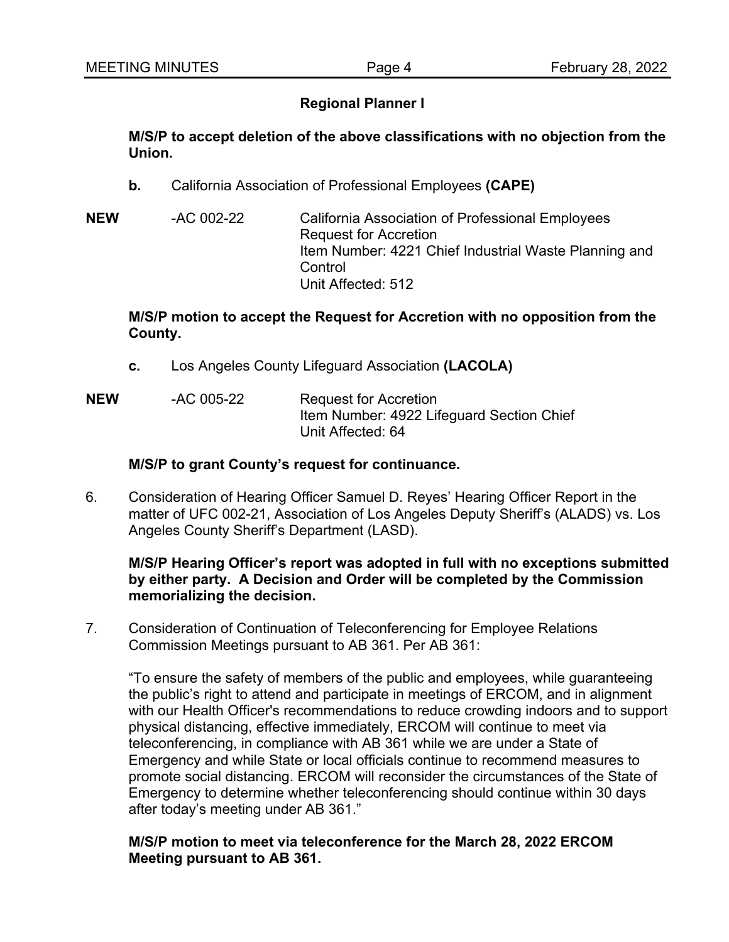# **Regional Planner I**

**M/S/P to accept deletion of the above classifications with no objection from the Union.**

- **b.** California Association of Professional Employees **(CAPE)**
- **NEW** -AC 002-22 California Association of Professional Employees Request for Accretion Item Number: 4221 Chief Industrial Waste Planning and **Control** Unit Affected: 512

#### **M/S/P motion to accept the Request for Accretion with no opposition from the County.**

- **c.** Los Angeles County Lifeguard Association **(LACOLA)**
- **NEW** -AC 005-22 Request for Accretion Item Number: 4922 Lifeguard Section Chief Unit Affected: 64

## **M/S/P to grant County's request for continuance.**

6. Consideration of Hearing Officer Samuel D. Reyes' Hearing Officer Report in the matter of UFC 002-21, Association of Los Angeles Deputy Sheriff's (ALADS) vs. Los Angeles County Sheriff's Department (LASD).

### **M/S/P Hearing Officer's report was adopted in full with no exceptions submitted by either party. A Decision and Order will be completed by the Commission memorializing the decision.**

7. Consideration of Continuation of Teleconferencing for Employee Relations Commission Meetings pursuant to AB 361. Per AB 361:

"To ensure the safety of members of the public and employees, while guaranteeing the public's right to attend and participate in meetings of ERCOM, and in alignment with our Health Officer's recommendations to reduce crowding indoors and to support physical distancing, effective immediately, ERCOM will continue to meet via teleconferencing, in compliance with AB 361 while we are under a State of Emergency and while State or local officials continue to recommend measures to promote social distancing. ERCOM will reconsider the circumstances of the State of Emergency to determine whether teleconferencing should continue within 30 days after today's meeting under AB 361."

#### **M/S/P motion to meet via teleconference for the March 28, 2022 ERCOM Meeting pursuant to AB 361.**